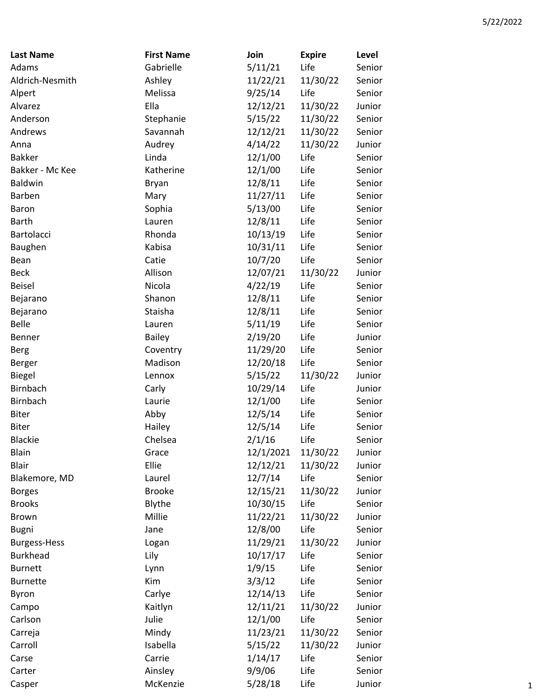| <b>Last Name</b>    | <b>First Name</b> | Join      | <b>Expire</b> | Level  |
|---------------------|-------------------|-----------|---------------|--------|
| Adams               | Gabrielle         | 5/11/21   | Life          | Senior |
| Aldrich-Nesmith     | Ashley            | 11/22/21  | 11/30/22      | Senior |
| Alpert              | Melissa           | 9/25/14   | Life          | Senior |
| Alvarez             | Ella              | 12/12/21  | 11/30/22      | Junior |
| Anderson            | Stephanie         | 5/15/22   | 11/30/22      | Senior |
| Andrews             | Savannah          | 12/12/21  | 11/30/22      | Senior |
| Anna                | Audrey            | 4/14/22   | 11/30/22      | Junior |
| <b>Bakker</b>       | Linda             | 12/1/00   | Life          | Senior |
| Bakker - Mc Kee     | Katherine         | 12/1/00   | Life          | Senior |
| <b>Baldwin</b>      | Bryan             | 12/8/11   | Life          | Senior |
| Barben              | Mary              | 11/27/11  | Life          | Senior |
| Baron               | Sophia            | 5/13/00   | Life          | Senior |
| <b>Barth</b>        | Lauren            | 12/8/11   | Life          | Senior |
| Bartolacci          | Rhonda            | 10/13/19  | Life          | Senior |
| Baughen             | Kabisa            | 10/31/11  | Life          | Senior |
| Bean                | Catie             | 10/7/20   | Life          | Senior |
| <b>Beck</b>         | Allison           | 12/07/21  | 11/30/22      | Junior |
| <b>Beisel</b>       | Nicola            | 4/22/19   | Life          | Senior |
| Bejarano            | Shanon            | 12/8/11   | Life          | Senior |
| Bejarano            | Staisha           | 12/8/11   | Life          | Senior |
| Belle               | Lauren            | 5/11/19   | Life          | Senior |
| Benner              | <b>Bailey</b>     | 2/19/20   | Life          | Junior |
| Berg                | Coventry          | 11/29/20  | Life          | Senior |
| Berger              | Madison           | 12/20/18  | Life          | Senior |
| <b>Biegel</b>       | Lennox            | 5/15/22   | 11/30/22      | Junior |
| Birnbach            | Carly             | 10/29/14  | Life          | Junior |
| Birnbach            | Laurie            | 12/1/00   | Life          | Senior |
| <b>Biter</b>        | Abby              | 12/5/14   | Life          | Senior |
| <b>Biter</b>        | Hailey            | 12/5/14   | Life          | Senior |
| <b>Blackie</b>      | Chelsea           | 2/1/16    | Life          | Senior |
| Blain               | Grace             | 12/1/2021 | 11/30/22      | Junior |
| <b>Blair</b>        | Ellie             | 12/12/21  | 11/30/22      | Junior |
| Blakemore, MD       | Laurel            | 12/7/14   | Life          | Senior |
| <b>Borges</b>       | <b>Brooke</b>     | 12/15/21  | 11/30/22      | Junior |
| <b>Brooks</b>       | Blythe            | 10/30/15  | Life          | Senior |
| <b>Brown</b>        | Millie            | 11/22/21  | 11/30/22      | Junior |
| <b>Bugni</b>        | Jane              | 12/8/00   | Life          | Senior |
| <b>Burgess-Hess</b> | Logan             | 11/29/21  | 11/30/22      | Junior |
| <b>Burkhead</b>     | Lily              | 10/17/17  | Life          | Senior |
| <b>Burnett</b>      | Lynn              | 1/9/15    | Life          | Senior |
| <b>Burnette</b>     | Kim               | 3/3/12    | Life          | Senior |
| Byron               | Carlye            | 12/14/13  | Life          | Senior |
| Campo               | Kaitlyn           | 12/11/21  | 11/30/22      | Junior |
| Carlson             | Julie             | 12/1/00   | Life          | Senior |
| Carreja             | Mindy             | 11/23/21  | 11/30/22      | Senior |
| Carroll             | Isabella          | 5/15/22   | 11/30/22      | Junior |
| Carse               | Carrie            | 1/14/17   | Life          | Senior |
| Carter              | Ainsley           | 9/9/06    | Life          | Senior |
| Casper              | McKenzie          | 5/28/18   | Life          | Junior |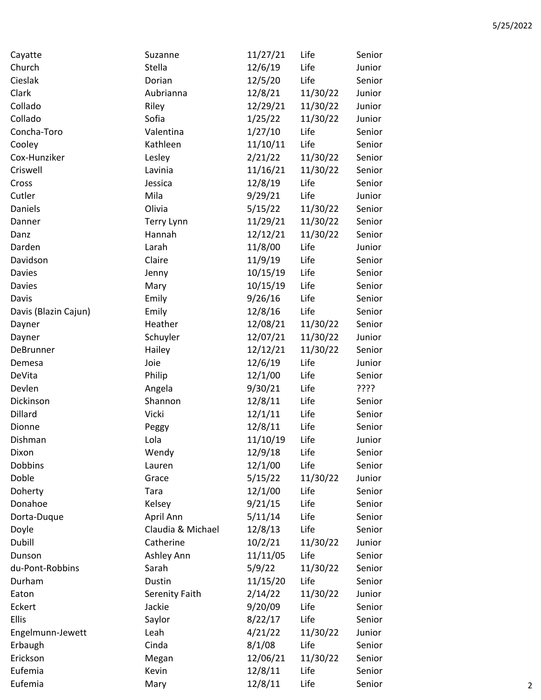| Cayatte              | Suzanne           | 11/27/21 | Life     | Senior |
|----------------------|-------------------|----------|----------|--------|
| Church               | Stella            | 12/6/19  | Life     | Junior |
| Cieslak              | Dorian            | 12/5/20  | Life     | Senior |
| Clark                | Aubrianna         | 12/8/21  | 11/30/22 | Junior |
| Collado              | Riley             | 12/29/21 | 11/30/22 | Junior |
| Collado              | Sofia             | 1/25/22  | 11/30/22 | Junior |
| Concha-Toro          | Valentina         | 1/27/10  | Life     | Senior |
| Cooley               | Kathleen          | 11/10/11 | Life     | Senior |
| Cox-Hunziker         | Lesley            | 2/21/22  | 11/30/22 | Senior |
| Criswell             | Lavinia           | 11/16/21 | 11/30/22 | Senior |
| Cross                | Jessica           | 12/8/19  | Life     | Senior |
| Cutler               | Mila              | 9/29/21  | Life     | Junior |
| Daniels              | Olivia            | 5/15/22  | 11/30/22 | Senior |
| Danner               | Terry Lynn        | 11/29/21 | 11/30/22 | Senior |
| Danz                 | Hannah            | 12/12/21 | 11/30/22 | Senior |
| Darden               | Larah             | 11/8/00  | Life     | Junior |
| Davidson             | Claire            | 11/9/19  | Life     | Senior |
| Davies               | Jenny             | 10/15/19 | Life     | Senior |
| Davies               | Mary              | 10/15/19 | Life     | Senior |
| Davis                | Emily             | 9/26/16  | Life     | Senior |
| Davis (Blazin Cajun) | Emily             | 12/8/16  | Life     | Senior |
| Dayner               | Heather           | 12/08/21 | 11/30/22 | Senior |
| Dayner               | Schuyler          | 12/07/21 | 11/30/22 | Junior |
| DeBrunner            | Hailey            | 12/12/21 | 11/30/22 | Senior |
| Demesa               | Joie              | 12/6/19  | Life     | Junior |
| DeVita               | Philip            | 12/1/00  | Life     | Senior |
| Devlen               | Angela            | 9/30/21  | Life     | ????   |
| Dickinson            | Shannon           | 12/8/11  | Life     | Senior |
| Dillard              | Vicki             | 12/1/11  | Life     | Senior |
| Dionne               | Peggy             | 12/8/11  | Life     | Senior |
| Dishman              | Lola              | 11/10/19 | Life     | Junior |
| Dixon                | Wendy             | 12/9/18  | Life     | Senior |
| Dobbins              | Lauren            | 12/1/00  | Life     | Senior |
| Doble                | Grace             | 5/15/22  | 11/30/22 | Junior |
| Doherty              | Tara              | 12/1/00  | Life     | Senior |
| Donahoe              | Kelsey            | 9/21/15  | Life     | Senior |
| Dorta-Duque          | April Ann         | 5/11/14  | Life     | Senior |
|                      | Claudia & Michael | 12/8/13  | Life     | Senior |
| Doyle                |                   | 10/2/21  |          |        |
| Dubill               | Catherine         |          | 11/30/22 | Junior |
| Dunson               | Ashley Ann        | 11/11/05 | Life     | Senior |
| du-Pont-Robbins      | Sarah             | 5/9/22   | 11/30/22 | Senior |
| Durham               | Dustin            | 11/15/20 | Life     | Senior |
| Eaton                | Serenity Faith    | 2/14/22  | 11/30/22 | Junior |
| Eckert               | Jackie            | 9/20/09  | Life     | Senior |
| <b>Ellis</b>         | Saylor            | 8/22/17  | Life     | Senior |
| Engelmunn-Jewett     | Leah              | 4/21/22  | 11/30/22 | Junior |
| Erbaugh              | Cinda             | 8/1/08   | Life     | Senior |
| Erickson             | Megan             | 12/06/21 | 11/30/22 | Senior |
| Eufemia              | Kevin             | 12/8/11  | Life     | Senior |
| Eufemia              | Mary              | 12/8/11  | Life     | Senior |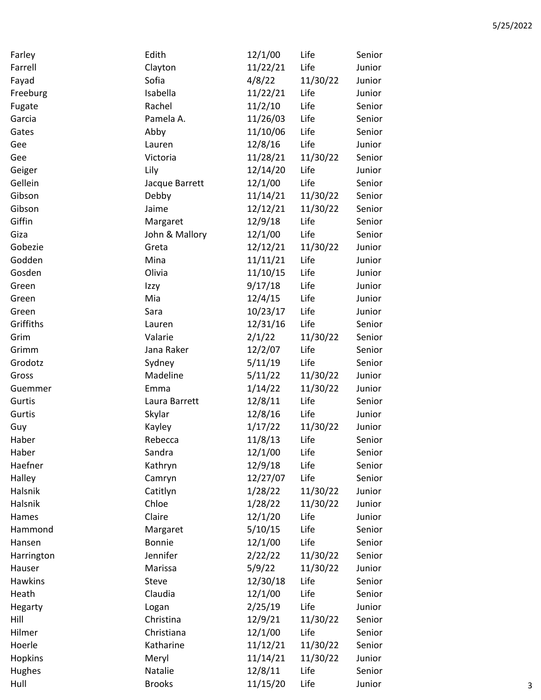| Farley         | Edith          | 12/1/00  | Life     | Senior |
|----------------|----------------|----------|----------|--------|
| Farrell        | Clayton        | 11/22/21 | Life     | Junior |
| Fayad          | Sofia          | 4/8/22   | 11/30/22 | Junior |
| Freeburg       | Isabella       | 11/22/21 | Life     | Junior |
| Fugate         | Rachel         | 11/2/10  | Life     | Senior |
| Garcia         | Pamela A.      | 11/26/03 | Life     | Senior |
| Gates          | Abby           | 11/10/06 | Life     | Senior |
| Gee            | Lauren         | 12/8/16  | Life     | Junior |
| Gee            | Victoria       | 11/28/21 | 11/30/22 | Senior |
| Geiger         | Lily           | 12/14/20 | Life     | Junior |
| Gellein        | Jacque Barrett | 12/1/00  | Life     | Senior |
| Gibson         | Debby          | 11/14/21 | 11/30/22 | Senior |
| Gibson         | Jaime          | 12/12/21 | 11/30/22 | Senior |
| Giffin         | Margaret       | 12/9/18  | Life     | Senior |
| Giza           | John & Mallory | 12/1/00  | Life     | Senior |
| Gobezie        | Greta          | 12/12/21 | 11/30/22 | Junior |
| Godden         | Mina           | 11/11/21 | Life     | Junior |
| Gosden         | Olivia         | 11/10/15 | Life     | Junior |
| Green          | Izzy           | 9/17/18  | Life     | Junior |
| Green          | Mia            | 12/4/15  | Life     | Junior |
| Green          | Sara           | 10/23/17 | Life     | Junior |
| Griffiths      | Lauren         | 12/31/16 | Life     | Senior |
| Grim           | Valarie        | 2/1/22   | 11/30/22 | Senior |
| Grimm          | Jana Raker     | 12/2/07  | Life     | Senior |
| Grodotz        | Sydney         | 5/11/19  | Life     | Senior |
| Gross          | Madeline       | 5/11/22  | 11/30/22 | Junior |
| Guemmer        | Emma           | 1/14/22  | 11/30/22 | Junior |
| Gurtis         | Laura Barrett  | 12/8/11  | Life     | Senior |
| Gurtis         | Skylar         | 12/8/16  | Life     | Junior |
| Guy            | Kayley         | 1/17/22  | 11/30/22 | Junior |
| Haber          | Rebecca        | 11/8/13  | Life     | Senior |
| Haber          | Sandra         | 12/1/00  | Life     | Senior |
| Haefner        | Kathryn        | 12/9/18  | Life     | Senior |
| Halley         | Camryn         | 12/27/07 | Life     | Senior |
| Halsnik        | Catitlyn       | 1/28/22  | 11/30/22 | Junior |
| Halsnik        | Chloe          | 1/28/22  | 11/30/22 | Junior |
| Hames          | Claire         | 12/1/20  | Life     | Junior |
| Hammond        | Margaret       | 5/10/15  | Life     | Senior |
| Hansen         | <b>Bonnie</b>  | 12/1/00  | Life     | Senior |
| Harrington     | Jennifer       | 2/22/22  | 11/30/22 | Senior |
| Hauser         | Marissa        | 5/9/22   | 11/30/22 | Junior |
| Hawkins        | <b>Steve</b>   | 12/30/18 | Life     | Senior |
| Heath          | Claudia        | 12/1/00  | Life     | Senior |
| Hegarty        | Logan          | 2/25/19  | Life     | Junior |
| Hill           | Christina      | 12/9/21  | 11/30/22 | Senior |
| Hilmer         | Christiana     | 12/1/00  | Life     | Senior |
| Hoerle         | Katharine      | 11/12/21 | 11/30/22 | Senior |
| <b>Hopkins</b> | Meryl          | 11/14/21 | 11/30/22 | Junior |
| Hughes         | Natalie        | 12/8/11  | Life     | Senior |
| Hull           | <b>Brooks</b>  | 11/15/20 | Life     | Junior |
|                |                |          |          |        |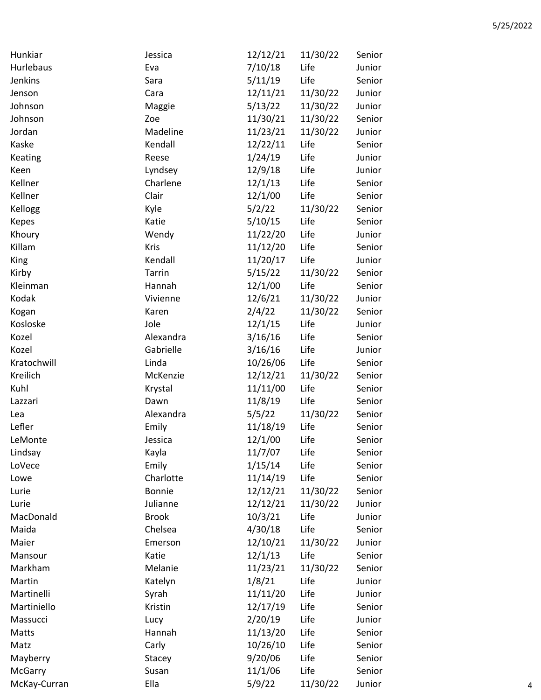| Hunkiar      | Jessica          | 12/12/21 | 11/30/22 | Senior |
|--------------|------------------|----------|----------|--------|
| Hurlebaus    | Eva              | 7/10/18  | Life     | Junior |
| Jenkins      | Sara             | 5/11/19  | Life     | Senior |
| Jenson       | Cara             | 12/11/21 | 11/30/22 | Junior |
| Johnson      | Maggie           | 5/13/22  | 11/30/22 | Junior |
| Johnson      | Zoe              | 11/30/21 | 11/30/22 | Senior |
| Jordan       | Madeline         | 11/23/21 | 11/30/22 | Junior |
| Kaske        | Kendall          | 12/22/11 | Life     | Senior |
| Keating      | Reese            | 1/24/19  | Life     | Junior |
| Keen         | Lyndsey          | 12/9/18  | Life     | Junior |
| Kellner      | Charlene         | 12/1/13  | Life     | Senior |
| Kellner      | Clair            | 12/1/00  | Life     | Senior |
| Kellogg      | Kyle             | 5/2/22   | 11/30/22 | Senior |
| <b>Kepes</b> | Katie            | 5/10/15  | Life     | Senior |
| Khoury       | Wendy            | 11/22/20 | Life     | Junior |
| Killam       | Kris             | 11/12/20 | Life     | Senior |
| <b>King</b>  | Kendall          | 11/20/17 | Life     | Junior |
| Kirby        | <b>Tarrin</b>    | 5/15/22  | 11/30/22 | Senior |
| Kleinman     | Hannah           | 12/1/00  | Life     | Senior |
| Kodak        | Vivienne         | 12/6/21  | 11/30/22 | Junior |
| Kogan        | Karen            | 2/4/22   | 11/30/22 | Senior |
| Kosloske     | Jole             | 12/1/15  | Life     | Junior |
| Kozel        | Alexandra        | 3/16/16  | Life     | Senior |
| Kozel        | Gabrielle        | 3/16/16  | Life     | Junior |
| Kratochwill  | Linda            | 10/26/06 | Life     | Senior |
| Kreilich     | McKenzie         | 12/12/21 | 11/30/22 | Senior |
| Kuhl         | Krystal          | 11/11/00 | Life     | Senior |
| Lazzari      | Dawn             | 11/8/19  | Life     | Senior |
| Lea          | Alexandra        | 5/5/22   | 11/30/22 | Senior |
| Lefler       | Emily            | 11/18/19 | Life     | Senior |
| LeMonte      | Jessica          | 12/1/00  | Life     | Senior |
| Lindsay      | Kayla            | 11/7/07  | Life     | Senior |
| LoVece       | Emily            | 1/15/14  | Life     | Senior |
| Lowe         | Charlotte        | 11/14/19 | Life     | Senior |
| Lurie        | <b>Bonnie</b>    | 12/12/21 | 11/30/22 | Senior |
| Lurie        | Julianne         | 12/12/21 | 11/30/22 | Junior |
| MacDonald    | <b>Brook</b>     | 10/3/21  | Life     | Junior |
| Maida        | Chelsea          | 4/30/18  | Life     | Senior |
| Maier        | Emerson          | 12/10/21 | 11/30/22 | Junior |
| Mansour      | Katie            | 12/1/13  | Life     | Senior |
| Markham      | Melanie          | 11/23/21 | 11/30/22 | Senior |
| Martin       | Katelyn          | 1/8/21   | Life     | Junior |
| Martinelli   |                  |          | Life     |        |
| Martiniello  | Syrah<br>Kristin | 11/11/20 |          | Junior |
|              |                  | 12/17/19 | Life     | Senior |
| Massucci     | Lucy             | 2/20/19  | Life     | Junior |
| Matts        | Hannah           | 11/13/20 | Life     | Senior |
| Matz         | Carly            | 10/26/10 | Life     | Senior |
| Mayberry     | Stacey           | 9/20/06  | Life     | Senior |
| McGarry      | Susan            | 11/1/06  | Life     | Senior |
| McKay-Curran | Ella             | 5/9/22   | 11/30/22 | Junior |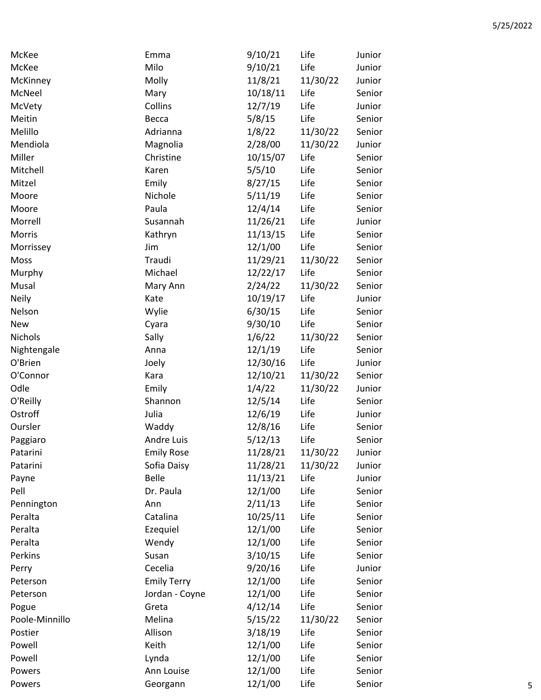| McKee          | Emma               | 9/10/21  | Life     | Junior |
|----------------|--------------------|----------|----------|--------|
| McKee          | Milo               | 9/10/21  | Life     | Junior |
| McKinney       | Molly              | 11/8/21  | 11/30/22 | Junior |
| McNeel         | Mary               | 10/18/11 | Life     | Senior |
| McVety         | Collins            | 12/7/19  | Life     | Junior |
| Meitin         | Becca              | 5/8/15   | Life     | Senior |
| Melillo        | Adrianna           | 1/8/22   | 11/30/22 | Senior |
| Mendiola       | Magnolia           | 2/28/00  | 11/30/22 | Junior |
| Miller         | Christine          | 10/15/07 | Life     | Senior |
| Mitchell       | Karen              | 5/5/10   | Life     | Senior |
| Mitzel         | Emily              | 8/27/15  | Life     | Senior |
| Moore          | Nichole            | 5/11/19  | Life     | Senior |
| Moore          | Paula              | 12/4/14  | Life     | Senior |
| Morrell        | Susannah           | 11/26/21 | Life     | Junior |
| Morris         | Kathryn            | 11/13/15 | Life     | Senior |
| Morrissey      | Jim                | 12/1/00  | Life     | Senior |
| Moss           | Traudi             | 11/29/21 | 11/30/22 | Senior |
| Murphy         | Michael            | 12/22/17 | Life     | Senior |
| Musal          | Mary Ann           | 2/24/22  | 11/30/22 | Senior |
| <b>Neily</b>   | Kate               | 10/19/17 | Life     | Junior |
| Nelson         | Wylie              | 6/30/15  | Life     | Senior |
| <b>New</b>     | Cyara              | 9/30/10  | Life     | Senior |
| <b>Nichols</b> | Sally              | 1/6/22   | 11/30/22 | Senior |
| Nightengale    | Anna               | 12/1/19  | Life     | Senior |
| O'Brien        | Joely              | 12/30/16 | Life     | Junior |
| O'Connor       | Kara               | 12/10/21 | 11/30/22 | Senior |
| Odle           | Emily              | 1/4/22   | 11/30/22 | Junior |
| O'Reilly       | Shannon            | 12/5/14  | Life     | Senior |
| Ostroff        | Julia              | 12/6/19  | Life     | Junior |
| Oursler        | Waddy              | 12/8/16  | Life     | Senior |
| Paggiaro       | <b>Andre Luis</b>  | 5/12/13  | Life     | Senior |
| Patarini       | <b>Emily Rose</b>  | 11/28/21 | 11/30/22 | Junior |
| Patarini       | Sofia Daisy        | 11/28/21 | 11/30/22 | Junior |
| Payne          | <b>Belle</b>       | 11/13/21 | Life     | Junior |
| Pell           | Dr. Paula          | 12/1/00  | Life     | Senior |
| Pennington     | Ann                | 2/11/13  | Life     | Senior |
| Peralta        | Catalina           | 10/25/11 | Life     | Senior |
| Peralta        | Ezequiel           | 12/1/00  | Life     | Senior |
| Peralta        | Wendy              | 12/1/00  | Life     | Senior |
| Perkins        | Susan              | 3/10/15  | Life     | Senior |
| Perry          | Cecelia            | 9/20/16  | Life     | Junior |
| Peterson       | <b>Emily Terry</b> | 12/1/00  | Life     | Senior |
| Peterson       | Jordan - Coyne     | 12/1/00  | Life     | Senior |
| Pogue          | Greta              | 4/12/14  | Life     | Senior |
| Poole-Minnillo | Melina             | 5/15/22  | 11/30/22 | Senior |
| Postier        | Allison            | 3/18/19  | Life     | Senior |
| Powell         | Keith              | 12/1/00  | Life     | Senior |
| Powell         | Lynda              | 12/1/00  | Life     | Senior |
| Powers         | Ann Louise         | 12/1/00  | Life     | Senior |
| Powers         | Georgann           | 12/1/00  | Life     | Senior |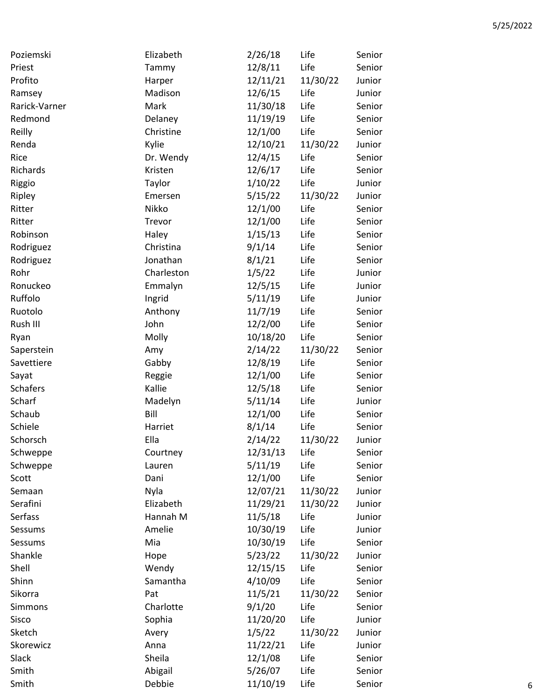| Poziemski       | Elizabeth  | 2/26/18  | Life     | Senior |
|-----------------|------------|----------|----------|--------|
| Priest          | Tammy      | 12/8/11  | Life     | Senior |
| Profito         | Harper     | 12/11/21 | 11/30/22 | Junior |
| Ramsey          | Madison    | 12/6/15  | Life     | Junior |
| Rarick-Varner   | Mark       | 11/30/18 | Life     | Senior |
| Redmond         | Delaney    | 11/19/19 | Life     | Senior |
| Reilly          | Christine  | 12/1/00  | Life     | Senior |
| Renda           | Kylie      | 12/10/21 | 11/30/22 | Junior |
| Rice            | Dr. Wendy  | 12/4/15  | Life     | Senior |
| Richards        | Kristen    | 12/6/17  | Life     | Senior |
| Riggio          | Taylor     | 1/10/22  | Life     | Junior |
| Ripley          | Emersen    | 5/15/22  | 11/30/22 | Junior |
| Ritter          | Nikko      | 12/1/00  | Life     | Senior |
| Ritter          | Trevor     | 12/1/00  | Life     | Senior |
| Robinson        | Haley      | 1/15/13  | Life     | Senior |
| Rodriguez       | Christina  | 9/1/14   | Life     | Senior |
| Rodriguez       | Jonathan   | 8/1/21   | Life     | Senior |
| Rohr            | Charleston | 1/5/22   | Life     | Junior |
| Ronuckeo        | Emmalyn    | 12/5/15  | Life     | Junior |
| Ruffolo         | Ingrid     | 5/11/19  | Life     | Junior |
| Ruotolo         | Anthony    | 11/7/19  | Life     | Senior |
| Rush III        | John       | 12/2/00  | Life     | Senior |
| Ryan            | Molly      | 10/18/20 | Life     | Senior |
| Saperstein      | Amy        | 2/14/22  | 11/30/22 | Senior |
| Savettiere      | Gabby      | 12/8/19  | Life     | Senior |
| Sayat           | Reggie     | 12/1/00  | Life     | Senior |
| <b>Schafers</b> | Kallie     | 12/5/18  | Life     | Senior |
| Scharf          | Madelyn    | 5/11/14  | Life     | Junior |
| Schaub          | Bill       | 12/1/00  | Life     | Senior |
| Schiele         | Harriet    | 8/1/14   | Life     | Senior |
| Schorsch        | Ella       | 2/14/22  | 11/30/22 | Junior |
| Schweppe        | Courtney   | 12/31/13 | Life     | Senior |
| Schweppe        | Lauren     | 5/11/19  | Life     | Senior |
| Scott           | Dani       | 12/1/00  | Life     | Senior |
| Semaan          | Nyla       | 12/07/21 | 11/30/22 | Junior |
| Serafini        | Elizabeth  | 11/29/21 | 11/30/22 | Junior |
| Serfass         | Hannah M   | 11/5/18  | Life     | Junior |
| Sessums         | Amelie     | 10/30/19 | Life     | Junior |
| Sessums         | Mia        | 10/30/19 | Life     | Senior |
| Shankle         | Hope       | 5/23/22  | 11/30/22 | Junior |
| Shell           | Wendy      | 12/15/15 | Life     | Senior |
| Shinn           | Samantha   | 4/10/09  | Life     | Senior |
| Sikorra         | Pat        | 11/5/21  | 11/30/22 | Senior |
| Simmons         | Charlotte  | 9/1/20   | Life     | Senior |
| Sisco           | Sophia     | 11/20/20 | Life     | Junior |
| Sketch          | Avery      | 1/5/22   | 11/30/22 | Junior |
| Skorewicz       | Anna       | 11/22/21 | Life     | Junior |
| Slack           | Sheila     | 12/1/08  | Life     | Senior |
| Smith           | Abigail    | 5/26/07  | Life     | Senior |
| Smith           | Debbie     | 11/10/19 | Life     | Senior |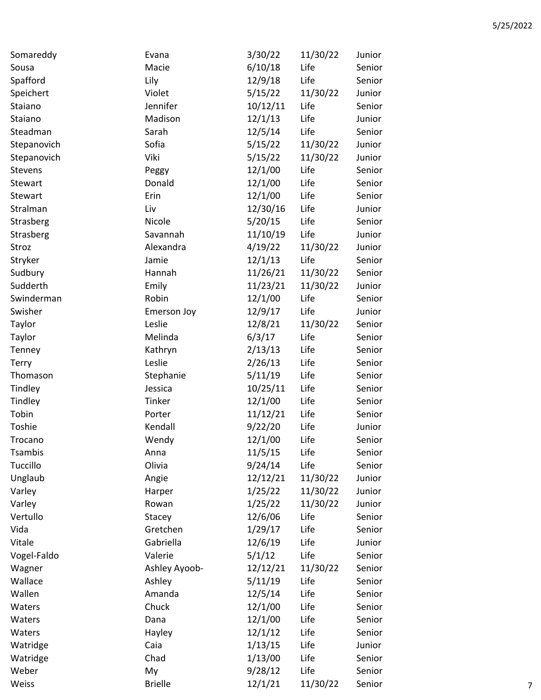| Somareddy   | Evana          | 3/30/22  | 11/30/22 | Junior |
|-------------|----------------|----------|----------|--------|
| Sousa       | Macie          | 6/10/18  | Life     | Senior |
| Spafford    | Lily           | 12/9/18  | Life     | Senior |
| Speichert   | Violet         | 5/15/22  | 11/30/22 | Junior |
| Staiano     | Jennifer       | 10/12/11 | Life     | Senior |
| Staiano     | Madison        | 12/1/13  | Life     | Junior |
| Steadman    | Sarah          | 12/5/14  | Life     | Senior |
| Stepanovich | Sofia          | 5/15/22  | 11/30/22 | Junior |
| Stepanovich | Viki           | 5/15/22  | 11/30/22 | Junior |
| Stevens     | Peggy          | 12/1/00  | Life     | Senior |
| Stewart     | Donald         | 12/1/00  | Life     | Senior |
| Stewart     | Erin           | 12/1/00  | Life     | Senior |
| Stralman    | Liv            | 12/30/16 | Life     | Junior |
| Strasberg   | Nicole         | 5/20/15  | Life     | Senior |
| Strasberg   | Savannah       | 11/10/19 | Life     | Junior |
| Stroz       | Alexandra      | 4/19/22  | 11/30/22 | Junior |
| Stryker     | Jamie          | 12/1/13  | Life     | Senior |
| Sudbury     | Hannah         | 11/26/21 | 11/30/22 | Senior |
| Sudderth    | Emily          | 11/23/21 | 11/30/22 | Junior |
| Swinderman  | Robin          | 12/1/00  | Life     | Senior |
| Swisher     | Emerson Joy    | 12/9/17  | Life     | Junior |
| Taylor      | Leslie         | 12/8/21  | 11/30/22 | Senior |
| Taylor      | Melinda        | 6/3/17   | Life     | Senior |
| Tenney      | Kathryn        | 2/13/13  | Life     | Senior |
| Terry       | Leslie         | 2/26/13  | Life     | Senior |
| Thomason    | Stephanie      | 5/11/19  | Life     | Senior |
| Tindley     | Jessica        | 10/25/11 | Life     | Senior |
| Tindley     | Tinker         | 12/1/00  | Life     | Senior |
| Tobin       | Porter         | 11/12/21 | Life     | Senior |
| Toshie      | Kendall        | 9/22/20  | Life     | Junior |
| Trocano     | Wendy          | 12/1/00  | Life     | Senior |
| Tsambis     | Anna           | 11/5/15  | Life     | Senior |
| Tuccillo    | Olivia         | 9/24/14  | Life     | Senior |
| Unglaub     | Angie          | 12/12/21 | 11/30/22 | Junior |
| Varley      | Harper         | 1/25/22  | 11/30/22 | Junior |
| Varley      | Rowan          | 1/25/22  | 11/30/22 | Junior |
| Vertullo    | Stacey         | 12/6/06  | Life     | Senior |
| Vida        | Gretchen       | 1/29/17  | Life     | Senior |
| Vitale      | Gabriella      | 12/6/19  | Life     | Junior |
| Vogel-Faldo | Valerie        | 5/1/12   | Life     | Senior |
| Wagner      | Ashley Ayoob-  | 12/12/21 | 11/30/22 | Senior |
| Wallace     | Ashley         | 5/11/19  | Life     | Senior |
| Wallen      | Amanda         | 12/5/14  | Life     | Senior |
| Waters      | Chuck          | 12/1/00  | Life     | Senior |
| Waters      | Dana           | 12/1/00  | Life     | Senior |
| Waters      | Hayley         | 12/1/12  | Life     | Senior |
| Watridge    | Caia           | 1/13/15  | Life     | Junior |
| Watridge    | Chad           | 1/13/00  | Life     | Senior |
| Weber       | My             | 9/28/12  | Life     | Senior |
| Weiss       | <b>Brielle</b> | 12/1/21  | 11/30/22 | Senior |
|             |                |          |          |        |